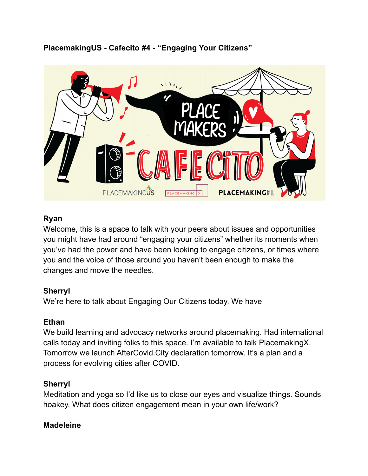**PlacemakingUS - Cafecito #4 - "Engaging Your Citizens"**



## **Ryan**

Welcome, this is a space to talk with your peers about issues and opportunities you might have had around "engaging your citizens" whether its moments when you've had the power and have been looking to engage citizens, or times where you and the voice of those around you haven't been enough to make the changes and move the needles.

## **Sherryl**

We're here to talk about Engaging Our Citizens today. We have

## **Ethan**

We build learning and advocacy networks around placemaking. Had international calls today and inviting folks to this space. I'm available to talk PlacemakingX. Tomorrow we launch AfterCovid.City declaration tomorrow. It's a plan and a process for evolving cities after COVID.

# **Sherryl**

Meditation and yoga so I'd like us to close our eyes and visualize things. Sounds hoakey. What does citizen engagement mean in your own life/work?

## **Madeleine**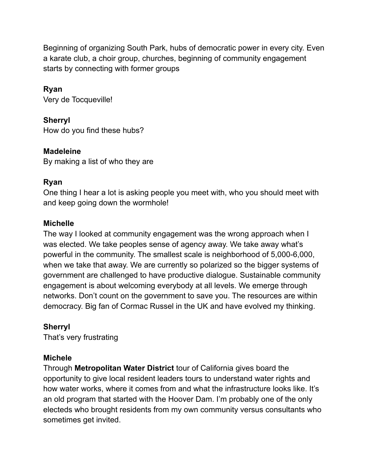Beginning of organizing South Park, hubs of democratic power in every city. Even a karate club, a choir group, churches, beginning of community engagement starts by connecting with former groups

## **Ryan**

Very de Tocqueville!

**Sherryl** How do you find these hubs?

#### **Madeleine**

By making a list of who they are

#### **Ryan**

One thing I hear a lot is asking people you meet with, who you should meet with and keep going down the wormhole!

#### **Michelle**

The way I looked at community engagement was the wrong approach when I was elected. We take peoples sense of agency away. We take away what's powerful in the community. The smallest scale is neighborhood of 5,000-6,000, when we take that away. We are currently so polarized so the bigger systems of government are challenged to have productive dialogue. Sustainable community engagement is about welcoming everybody at all levels. We emerge through networks. Don't count on the government to save you. The resources are within democracy. Big fan of Cormac Russel in the UK and have evolved my thinking.

## **Sherryl**

That's very frustrating

## **Michele**

Through **Metropolitan Water District** tour of California gives board the opportunity to give local resident leaders tours to understand water rights and how water works, where it comes from and what the infrastructure looks like. It's an old program that started with the Hoover Dam. I'm probably one of the only electeds who brought residents from my own community versus consultants who sometimes get invited.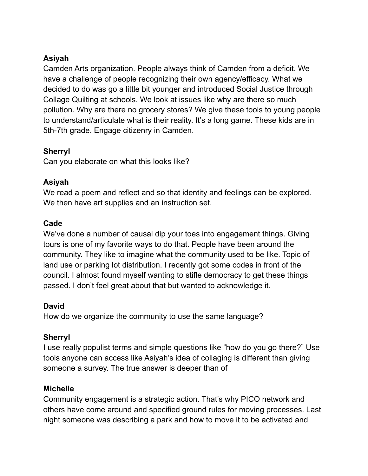## **Asiyah**

Camden Arts organization. People always think of Camden from a deficit. We have a challenge of people recognizing their own agency/efficacy. What we decided to do was go a little bit younger and introduced Social Justice through Collage Quilting at schools. We look at issues like why are there so much pollution. Why are there no grocery stores? We give these tools to young people to understand/articulate what is their reality. It's a long game. These kids are in 5th-7th grade. Engage citizenry in Camden.

## **Sherryl**

Can you elaborate on what this looks like?

## **Asiyah**

We read a poem and reflect and so that identity and feelings can be explored. We then have art supplies and an instruction set.

## **Cade**

We've done a number of causal dip your toes into engagement things. Giving tours is one of my favorite ways to do that. People have been around the community. They like to imagine what the community used to be like. Topic of land use or parking lot distribution. I recently got some codes in front of the council. I almost found myself wanting to stifle democracy to get these things passed. I don't feel great about that but wanted to acknowledge it.

## **David**

How do we organize the community to use the same language?

# **Sherryl**

I use really populist terms and simple questions like "how do you go there?" Use tools anyone can access like Asiyah's idea of collaging is different than giving someone a survey. The true answer is deeper than of

## **Michelle**

Community engagement is a strategic action. That's why PICO network and others have come around and specified ground rules for moving processes. Last night someone was describing a park and how to move it to be activated and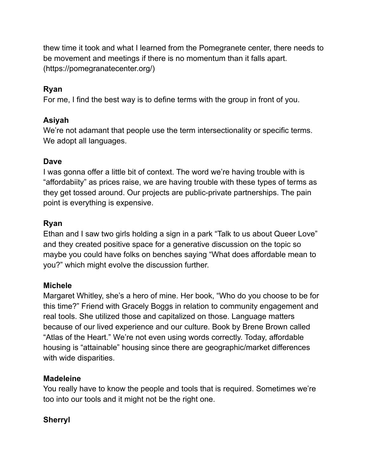thew time it took and what I learned from the Pomegranete center, there needs to be movement and meetings if there is no momentum than it falls apart. (https://pomegranatecenter.org/)

## **Ryan**

For me, I find the best way is to define terms with the group in front of you.

## **Asiyah**

We're not adamant that people use the term intersectionality or specific terms. We adopt all languages.

# **Dave**

I was gonna offer a little bit of context. The word we're having trouble with is "affordabiity" as prices raise, we are having trouble with these types of terms as they get tossed around. Our projects are public-private partnerships. The pain point is everything is expensive.

# **Ryan**

Ethan and I saw two girls holding a sign in a park "Talk to us about Queer Love" and they created positive space for a generative discussion on the topic so maybe you could have folks on benches saying "What does affordable mean to you?" which might evolve the discussion further.

# **Michele**

Margaret Whitley, she's a hero of mine. Her book, "Who do you choose to be for this time?" Friend with Gracely Boggs in relation to community engagement and real tools. She utilized those and capitalized on those. Language matters because of our lived experience and our culture. Book by Brene Brown called "Atlas of the Heart." We're not even using words correctly. Today, affordable housing is "attainable" housing since there are geographic/market differences with wide disparities.

## **Madeleine**

You really have to know the people and tools that is required. Sometimes we're too into our tools and it might not be the right one.

# **Sherryl**